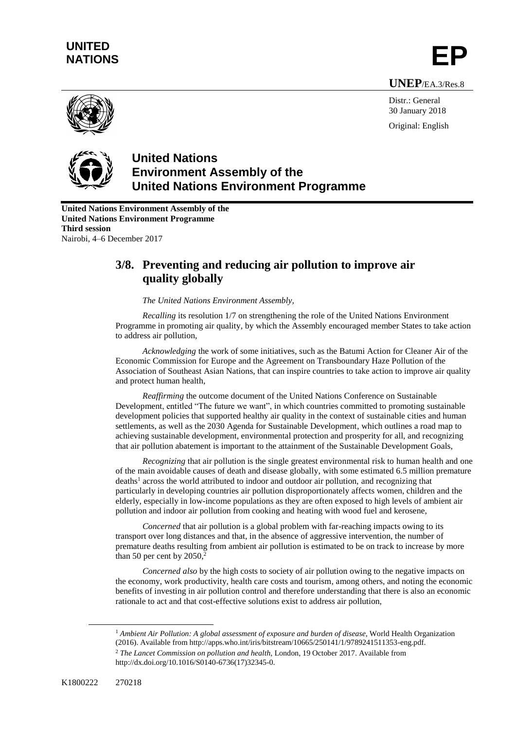## **UNITED** UNITED<br>NATIONS **EP**

**UNEP**/EA.3/Res.8



Distr.: General 30 January 2018 Original: English



## **United Nations Environment Assembly of the United Nations Environment Programme**

**United Nations Environment Assembly of the United Nations Environment Programme Third session** Nairobi, 4–6 December 2017

## **3/8. Preventing and reducing air pollution to improve air quality globally**

## *The United Nations Environment Assembly,*

*Recalling* its resolution 1/7 on strengthening the role of the United Nations Environment Programme in promoting air quality, by which the Assembly encouraged member States to take action to address air pollution,

*Acknowledging* the work of some initiatives, such as the Batumi Action for Cleaner Air of the Economic Commission for Europe and the Agreement on Transboundary Haze Pollution of the Association of Southeast Asian Nations, that can inspire countries to take action to improve air quality and protect human health,

*Reaffirming* the outcome document of the United Nations Conference on Sustainable Development, entitled "The future we want", in which countries committed to promoting sustainable development policies that supported healthy air quality in the context of sustainable cities and human settlements, as well as the 2030 Agenda for Sustainable Development, which outlines a road map to achieving sustainable development, environmental protection and prosperity for all, and recognizing that air pollution abatement is important to the attainment of the Sustainable Development Goals,

*Recognizing* that air pollution is the single greatest environmental risk to human health and one of the main avoidable causes of death and disease globally, with some estimated 6.5 million premature deaths<sup>1</sup> across the world attributed to indoor and outdoor air pollution, and recognizing that particularly in developing countries air pollution disproportionately affects women, children and the elderly, especially in low-income populations as they are often exposed to high levels of ambient air pollution and indoor air pollution from cooking and heating with wood fuel and kerosene,

*Concerned* that air pollution is a global problem with far-reaching impacts owing to its transport over long distances and that, in the absence of aggressive intervention, the number of premature deaths resulting from ambient air pollution is estimated to be on track to increase by more than 50 per cent by  $2050$ <sup>2</sup>

*Concerned also* by the high costs to society of air pollution owing to the negative impacts on the economy, work productivity, health care costs and tourism, among others, and noting the economic benefits of investing in air pollution control and therefore understanding that there is also an economic rationale to act and that cost-effective solutions exist to address air pollution,

<sup>1</sup> Ambient Air Pollution: A global assessment of exposure and burden of disease, World Health Organization (2016). Available from http://apps.who.int/iris/bitstream/10665/250141/1/9789241511353-eng.pdf.

 $\overline{a}$ 

<sup>2</sup> *The Lancet Commission on pollution and health,* London, 19 October 2017. Available from http://dx.doi.org/10.1016/S0140-6736(17)32345-0.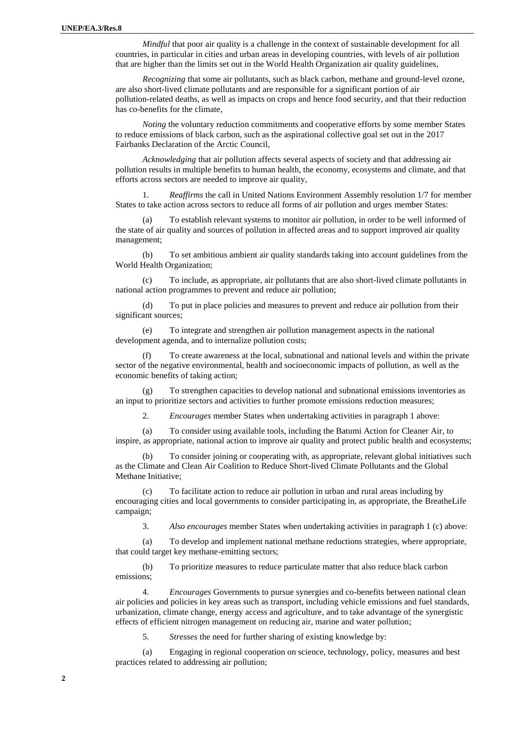*Mindful* that poor air quality is a challenge in the context of sustainable development for all countries, in particular in cities and urban areas in developing countries, with levels of air pollution that are higher than the limits set out in the World Health Organization air quality guidelines,

*Recognizing* that some air pollutants, such as black carbon, methane and ground-level ozone, are also short-lived climate pollutants and are responsible for a significant portion of air pollution-related deaths, as well as impacts on crops and hence food security, and that their reduction has co-benefits for the climate,

*Noting* the voluntary reduction commitments and cooperative efforts by some member States to reduce emissions of black carbon, such as the aspirational collective goal set out in the 2017 Fairbanks Declaration of the Arctic Council,

*Acknowledging* that air pollution affects several aspects of society and that addressing air pollution results in multiple benefits to human health, the economy, ecosystems and climate, and that efforts across sectors are needed to improve air quality,

1. *Reaffirms* the call in United Nations Environment Assembly resolution 1/7 for member States to take action across sectors to reduce all forms of air pollution and urges member States:

(a) To establish relevant systems to monitor air pollution, in order to be well informed of the state of air quality and sources of pollution in affected areas and to support improved air quality management;

(b) To set ambitious ambient air quality standards taking into account guidelines from the World Health Organization;

(c) To include, as appropriate, air pollutants that are also short-lived climate pollutants in national action programmes to prevent and reduce air pollution;

(d) To put in place policies and measures to prevent and reduce air pollution from their significant sources;

(e) To integrate and strengthen air pollution management aspects in the national development agenda, and to internalize pollution costs;

(f) To create awareness at the local, subnational and national levels and within the private sector of the negative environmental, health and socioeconomic impacts of pollution, as well as the economic benefits of taking action;

(g) To strengthen capacities to develop national and subnational emissions inventories as an input to prioritize sectors and activities to further promote emissions reduction measures;

2. *Encourages* member States when undertaking activities in paragraph 1 above:

(a) To consider using available tools, including the Batumi Action for Cleaner Air, to inspire, as appropriate, national action to improve air quality and protect public health and ecosystems;

(b) To consider joining or cooperating with, as appropriate, relevant global initiatives such as the Climate and Clean Air Coalition to Reduce Short-lived Climate Pollutants and the Global Methane Initiative;

(c) To facilitate action to reduce air pollution in urban and rural areas including by encouraging cities and local governments to consider participating in, as appropriate, the BreatheLife campaign;

3. *Also encourages* member States when undertaking activities in paragraph 1 (c) above:

(a) To develop and implement national methane reductions strategies, where appropriate, that could target key methane-emitting sectors;

(b) To prioritize measures to reduce particulate matter that also reduce black carbon emissions;

4. *Encourages* Governments to pursue synergies and co-benefits between national clean air policies and policies in key areas such as transport, including vehicle emissions and fuel standards, urbanization, climate change, energy access and agriculture, and to take advantage of the synergistic effects of efficient nitrogen management on reducing air, marine and water pollution;

5. *Stresses* the need for further sharing of existing knowledge by:

(a) Engaging in regional cooperation on science, technology, policy, measures and best practices related to addressing air pollution;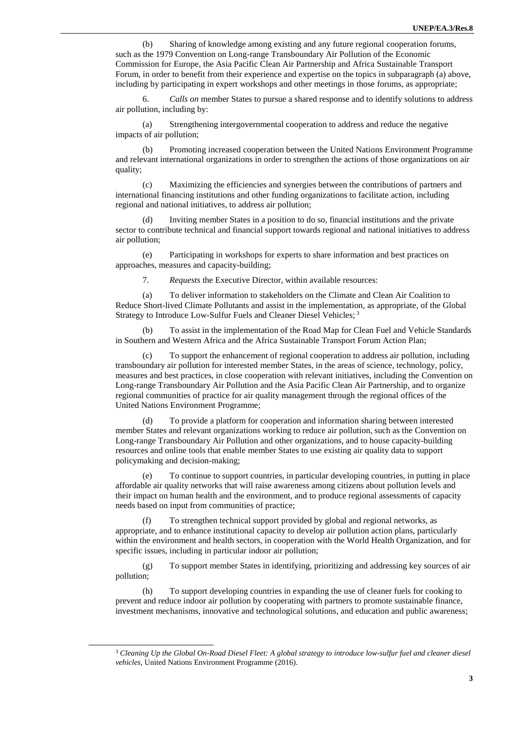(b) Sharing of knowledge among existing and any future regional cooperation forums, such as the 1979 Convention on Long-range Transboundary Air Pollution of the Economic Commission for Europe, the Asia Pacific Clean Air Partnership and Africa Sustainable Transport Forum, in order to benefit from their experience and expertise on the topics in subparagraph (a) above, including by participating in expert workshops and other meetings in those forums, as appropriate;

6. *Calls on* member States to pursue a shared response and to identify solutions to address air pollution, including by:

(a) Strengthening intergovernmental cooperation to address and reduce the negative impacts of air pollution;

(b) Promoting increased cooperation between the United Nations Environment Programme and relevant international organizations in order to strengthen the actions of those organizations on air quality;

(c) Maximizing the efficiencies and synergies between the contributions of partners and international financing institutions and other funding organizations to facilitate action, including regional and national initiatives, to address air pollution;

(d) Inviting member States in a position to do so, financial institutions and the private sector to contribute technical and financial support towards regional and national initiatives to address air pollution;

(e) Participating in workshops for experts to share information and best practices on approaches, measures and capacity-building;

7. *Requests* the Executive Director, within available resources:

(a) To deliver information to stakeholders on the Climate and Clean Air Coalition to Reduce Short-lived Climate Pollutants and assist in the implementation, as appropriate, of the Global Strategy to Introduce Low-Sulfur Fuels and Cleaner Diesel Vehicles;<sup>3</sup>

To assist in the implementation of the Road Map for Clean Fuel and Vehicle Standards in Southern and Western Africa and the Africa Sustainable Transport Forum Action Plan;

(c) To support the enhancement of regional cooperation to address air pollution, including transboundary air pollution for interested member States, in the areas of science, technology, policy, measures and best practices, in close cooperation with relevant initiatives, including the Convention on Long-range Transboundary Air Pollution and the Asia Pacific Clean Air Partnership, and to organize regional communities of practice for air quality management through the regional offices of the United Nations Environment Programme;

(d) To provide a platform for cooperation and information sharing between interested member States and relevant organizations working to reduce air pollution, such as the Convention on Long-range Transboundary Air Pollution and other organizations, and to house capacity-building resources and online tools that enable member States to use existing air quality data to support policymaking and decision-making;

(e) To continue to support countries, in particular developing countries, in putting in place affordable air quality networks that will raise awareness among citizens about pollution levels and their impact on human health and the environment, and to produce regional assessments of capacity needs based on input from communities of practice;

(f) To strengthen technical support provided by global and regional networks, as appropriate, and to enhance institutional capacity to develop air pollution action plans, particularly within the environment and health sectors, in cooperation with the World Health Organization, and for specific issues, including in particular indoor air pollution;

(g) To support member States in identifying, prioritizing and addressing key sources of air pollution;

(h) To support developing countries in expanding the use of cleaner fuels for cooking to prevent and reduce indoor air pollution by cooperating with partners to promote sustainable finance, investment mechanisms, innovative and technological solutions, and education and public awareness;

 $\overline{a}$ 

<sup>3</sup> *Cleaning Up the Global On-Road Diesel Fleet: A global strategy to introduce low-sulfur fuel and cleaner diesel vehicles*, United Nations Environment Programme (2016).